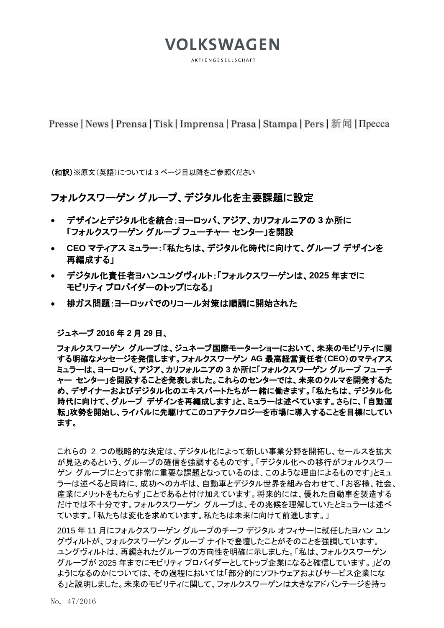**AKTIENGESELLSCHAFT** 

Presse | News | Prensa | Tisk | Imprensa | Prasa | Stampa | Pers | 新闻 | Пресса

(和訳)※原文(英語)については 3 ページ目以降をご参照ください

### フォルクスワーゲン グループ、デジタル化を主要課題に設定

- デザインとデジタル化を統合:ヨーロッパ、アジア、カリフォルニアの **3** か所に 「フォルクスワーゲン グループ フューチャー センター」を開設
- **CEO** マティアス ミュラー:「私たちは、デジタル化時代に向けて、グループ デザインを 再編成する」
- デジタル化責任者ヨハンユングヴィルト:「フォルクスワーゲンは、**2025** 年までに モビリティ プロバイダーのトップになる」
- 排ガス問題:ヨーロッパでのリコール対策は順調に開始された

ジュネーブ **2016** 年 **2** 月 **29** 日、

フォルクスワーゲン グループは、ジュネーブ国際モーターショーにおいて、未来のモビリティに関 する明確なメッセージを発信します。フォルクスワーゲン **AG** 最高経営責任者(**CEO**)のマティアス ミュラーは、ヨーロッパ、アジア、カリフォルニアの **3** か所に「フォルクスワーゲン グループ フューチ ャー センター」を開設することを発表しました。これらのセンターでは、未来のクルマを開発するた め、デザイナーおよびデジタル化のエキスパートたちが一緒に働きます。「私たちは、デジタル化 時代に向けて、グループ デザインを再編成します」と、ミュラーは述べています。さらに、「自動運 転」攻勢を開始し、ライバルに先駆けてこのコアテクノロジーを市場に導入することを目標にしてい ます。

これらの 2 つの戦略的な決定は、デジタル化によって新しい事業分野を開拓し、セールスを拡大 が見込めるという、グループの確信を強調するものです。「デジタル化への移行がフォルクスワー ゲン グループにとって非常に重要な課題となっているのは、このような理由によるものです」とミュ ラーは述べると同時に、成功へのカギは、自動車とデジタル世界を組み合わせて、「お客様、社会、 産業にメリットをもたらす」ことであると付け加えています。将来的には、優れた自動車を製造する だけでは不十分です。フォルクスワーゲン グループは、その兆候を理解していたとミュラーは述べ ています。「私たちは変化を求めています。私たちは未来に向けて前進します。」

2015 年 11 月にフォルクスワーゲン グループのチーフ デジタル オフィサーに就任したヨハン ユン グヴィルトが、フォルクスワーゲン グループ ナイトで登壇したことがそのことを強調しています。 ユングヴィルトは、再編されたグループの方向性を明確に示しました。「私は、フォルクスワーゲン グループが 2025 年までにモビリティ プロバイダーとしてトップ企業になると確信しています。」どの ようになるのかについては、その過程においては「部分的にソフトウェアおよびサービス企業にな る」と説明しました。未来のモビリティに関して、フォルクスワーゲンは大きなアドバンテージを持っ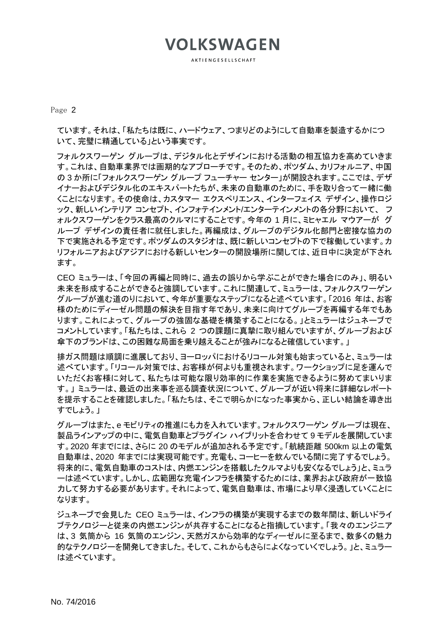AKTIENGESELLSCHAFT

Page 2

ています。それは、「私たちは既に、ハードウェア、つまりどのようにして自動車を製造するかにつ いて、完璧に精通している」という事実です。

フォルクスワーゲン グループは、デジタル化とデザインにおける活動の相互協力を高めていきま す。これは、自動車業界では画期的なアプローチです。そのため、ポツダム、カリフォルニア、中国 の 3 か所に「フォルクスワーゲン グループ フューチャー センター」が開設されます。ここでは、デザ イナーおよびデジタル化のエキスパートたちが、未来の自動車のために、手を取り合って一緒に働 くことになります。その使命は、カスタマー エクスペリエンス、インターフェイス デザイン、操作ロジ ック、新しいインテリア コンセプト、インフォテインメント/エンターテインメントの各分野において、 フ ォルクスワーゲンをクラス最高のクルマにすることです。今年の 1 月に、ミヒャエル マウアーが グ ループ デザインの責任者に就任しました。再編成は、グループのデジタル化部門と密接な協力の 下で実施される予定です。ポツダムのスタジオは、既に新しいコンセプトの下で稼働しています。カ リフォルニアおよびアジアにおける新しいセンターの開設場所に関しては、近日中に決定が下され ます。

CEO ミュラーは、「今回の再編と同時に、過去の誤りから学ぶことができた場合にのみ」、明るい 未来を形成することができると強調しています。これに関連して、ミュラーは、フォルクスワーゲン グループが進む道のりにおいて、今年が重要なステップになると述べています。「2016 年は、お客 様のためにディーゼル問題の解決を目指す年であり、未来に向けてグループを再編する年でもあ ります。これによって、グループの強固な基礎を構築することになる。」とミュラーはジュネーブで コメントしています。「私たちは、これら 2 つの課題に真摯に取り組んでいますが、グループおよび 傘下のブランドは、この困難な局面を乗り越えることが強みになると確信しています。」

排ガス問題は順調に進展しており、ヨーロッパにおけるリコール対策も始まっていると、ミュラーは 述べています。「リコール対策では、お客様が何よりも重視されます。ワークショップに足を運んで いただくお客様に対して、私たちは可能な限り効率的に作業を実施できるように努めてまいりま す。」 ミュラーは、最近の出来事を巡る調査状況について、グループが近い将来に詳細なレポート を提示することを確認しました。「私たちは、そこで明らかになった事実から、正しい結論を導き出 すでしょう。」

グループはまた、e モビリティの推進にも力を入れています。フォルクスワーゲン グループは現在、 製品ラインアップの中に、電気自動車とプラグイン ハイブリットを合わせて 9 モデルを展開していま す。2020 年までには、さらに 20 のモデルが追加される予定です。「航続距離 500km 以上の電気 自動車は、2020 年までには実現可能です。充電も、コーヒーを飲んでいる間に完了するでしょう。 将来的に、電気自動車のコストは、内燃エンジンを搭載したクルマよりも安くなるでしょう」と、ミュラ ーは述べています。しかし、広範囲な充電インフラを構築するためには、業界および政府が一致協 力して努力する必要があります。それによって、電気自動車は、市場により早く浸透していくことに なります。

ジュネーブで会見した CEO ミュラーは、インフラの構築が実現するまでの数年間は、新しいドライ ブテクノロジーと従来の内燃エンジンが共存することになると指摘しています。「我々のエンジニア は、3 気筒から 16 気筒のエンジン、天然ガスから効率的なディーゼルに至るまで、数多くの魅力 的なテクノロジーを開発してきました。そして、これからもさらによくなっていくでしょう。」と、ミュラー は述べています。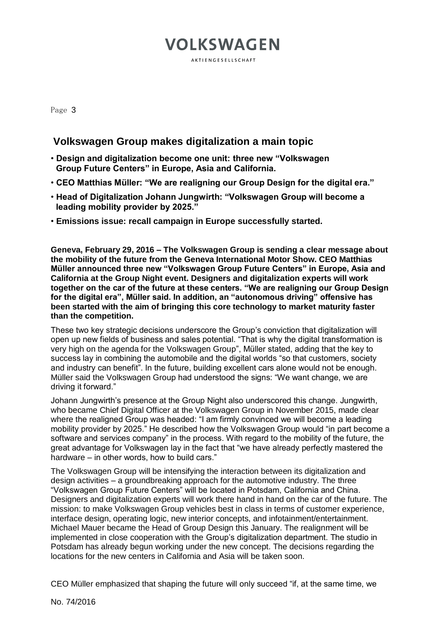**AKTIENGESELLSCHAFT** 

Page 3

#### **Volkswagen Group makes digitalization a main topic**

- **Design and digitalization become one unit: three new "Volkswagen Group Future Centers" in Europe, Asia and California.**
- **CEO Matthias Müller: "We are realigning our Group Design for the digital era."**
- **Head of Digitalization Johann Jungwirth: "Volkswagen Group will become a leading mobility provider by 2025."**
- **Emissions issue: recall campaign in Europe successfully started.**

**Geneva, February 29, 2016 – The Volkswagen Group is sending a clear message about the mobility of the future from the Geneva International Motor Show. CEO Matthias Müller announced three new "Volkswagen Group Future Centers" in Europe, Asia and California at the Group Night event. Designers and digitalization experts will work together on the car of the future at these centers. "We are realigning our Group Design for the digital era", Müller said. In addition, an "autonomous driving" offensive has been started with the aim of bringing this core technology to market maturity faster than the competition.** 

These two key strategic decisions underscore the Group's conviction that digitalization will open up new fields of business and sales potential. "That is why the digital transformation is very high on the agenda for the Volkswagen Group", Müller stated, adding that the key to success lay in combining the automobile and the digital worlds "so that customers, society and industry can benefit". In the future, building excellent cars alone would not be enough. Müller said the Volkswagen Group had understood the signs: "We want change, we are driving it forward."

Johann Jungwirth's presence at the Group Night also underscored this change. Jungwirth, who became Chief Digital Officer at the Volkswagen Group in November 2015, made clear where the realigned Group was headed: "I am firmly convinced we will become a leading mobility provider by 2025." He described how the Volkswagen Group would "in part become a software and services company" in the process. With regard to the mobility of the future, the great advantage for Volkswagen lay in the fact that "we have already perfectly mastered the hardware – in other words, how to build cars."

The Volkswagen Group will be intensifying the interaction between its digitalization and design activities – a groundbreaking approach for the automotive industry. The three "Volkswagen Group Future Centers" will be located in Potsdam, California and China. Designers and digitalization experts will work there hand in hand on the car of the future. The mission: to make Volkswagen Group vehicles best in class in terms of customer experience, interface design, operating logic, new interior concepts, and infotainment/entertainment. Michael Mauer became the Head of Group Design this January. The realignment will be implemented in close cooperation with the Group's digitalization department. The studio in Potsdam has already begun working under the new concept. The decisions regarding the locations for the new centers in California and Asia will be taken soon.

CEO Müller emphasized that shaping the future will only succeed "if, at the same time, we